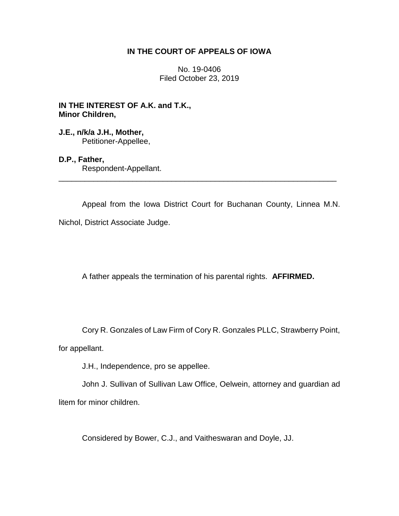## **IN THE COURT OF APPEALS OF IOWA**

No. 19-0406 Filed October 23, 2019

**IN THE INTEREST OF A.K. and T.K., Minor Children,**

**J.E., n/k/a J.H., Mother,** Petitioner-Appellee,

## **D.P., Father,**

Respondent-Appellant. \_\_\_\_\_\_\_\_\_\_\_\_\_\_\_\_\_\_\_\_\_\_\_\_\_\_\_\_\_\_\_\_\_\_\_\_\_\_\_\_\_\_\_\_\_\_\_\_\_\_\_\_\_\_\_\_\_\_\_\_\_\_\_\_

Appeal from the Iowa District Court for Buchanan County, Linnea M.N. Nichol, District Associate Judge.

A father appeals the termination of his parental rights. **AFFIRMED.**

Cory R. Gonzales of Law Firm of Cory R. Gonzales PLLC, Strawberry Point,

for appellant.

J.H., Independence, pro se appellee.

John J. Sullivan of Sullivan Law Office, Oelwein, attorney and guardian ad litem for minor children.

Considered by Bower, C.J., and Vaitheswaran and Doyle, JJ.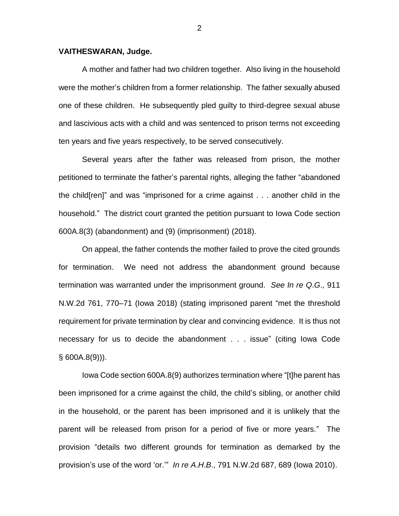## **VAITHESWARAN, Judge.**

A mother and father had two children together. Also living in the household were the mother's children from a former relationship. The father sexually abused one of these children. He subsequently pled guilty to third-degree sexual abuse and lascivious acts with a child and was sentenced to prison terms not exceeding ten years and five years respectively, to be served consecutively.

Several years after the father was released from prison, the mother petitioned to terminate the father's parental rights, alleging the father "abandoned the child[ren]" and was "imprisoned for a crime against . . . another child in the household." The district court granted the petition pursuant to Iowa Code section 600A.8(3) (abandonment) and (9) (imprisonment) (2018).

On appeal, the father contends the mother failed to prove the cited grounds for termination. We need not address the abandonment ground because termination was warranted under the imprisonment ground. *See In re Q*.*G*., 911 N.W.2d 761, 770–71 (Iowa 2018) (stating imprisoned parent "met the threshold requirement for private termination by clear and convincing evidence. It is thus not necessary for us to decide the abandonment . . . issue" (citing Iowa Code  $§ 600A.8(9))$ .

Iowa Code section 600A.8(9) authorizes termination where "[t]he parent has been imprisoned for a crime against the child, the child's sibling, or another child in the household, or the parent has been imprisoned and it is unlikely that the parent will be released from prison for a period of five or more years." The provision "details two different grounds for termination as demarked by the provision's use of the word 'or.'" *In re A*.*H*.*B*., 791 N.W.2d 687, 689 (Iowa 2010).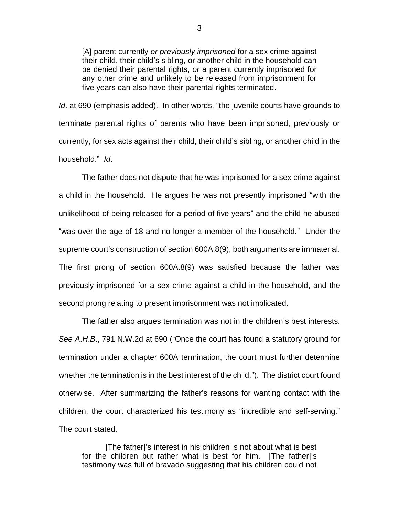[A] parent currently *or previously imprisoned* for a sex crime against their child, their child's sibling, or another child in the household can be denied their parental rights, *or* a parent currently imprisoned for any other crime and unlikely to be released from imprisonment for five years can also have their parental rights terminated.

*Id*. at 690 (emphasis added). In other words, "the juvenile courts have grounds to terminate parental rights of parents who have been imprisoned, previously or currently, for sex acts against their child, their child's sibling, or another child in the household." *Id*.

The father does not dispute that he was imprisoned for a sex crime against a child in the household. He argues he was not presently imprisoned "with the unlikelihood of being released for a period of five years" and the child he abused "was over the age of 18 and no longer a member of the household." Under the supreme court's construction of section 600A.8(9), both arguments are immaterial. The first prong of section 600A.8(9) was satisfied because the father was previously imprisoned for a sex crime against a child in the household, and the second prong relating to present imprisonment was not implicated.

The father also argues termination was not in the children's best interests. *See A*.*H*.*B*., 791 N.W.2d at 690 ("Once the court has found a statutory ground for termination under a chapter 600A termination, the court must further determine whether the termination is in the best interest of the child."). The district court found otherwise. After summarizing the father's reasons for wanting contact with the children, the court characterized his testimony as "incredible and self-serving." The court stated,

[The father]'s interest in his children is not about what is best for the children but rather what is best for him. [The father]'s testimony was full of bravado suggesting that his children could not